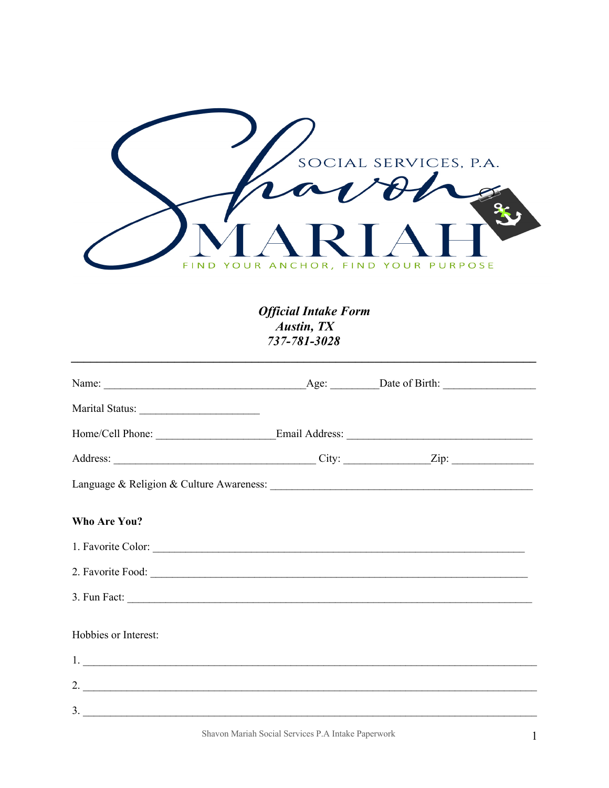

**Official Intake Form** Austin, TX 737-781-3028

| Who Are You?         |  |
|----------------------|--|
| 1. Favorite Color:   |  |
| 2. Favorite Food:    |  |
|                      |  |
| Hobbies or Interest: |  |
|                      |  |
|                      |  |
| 3.                   |  |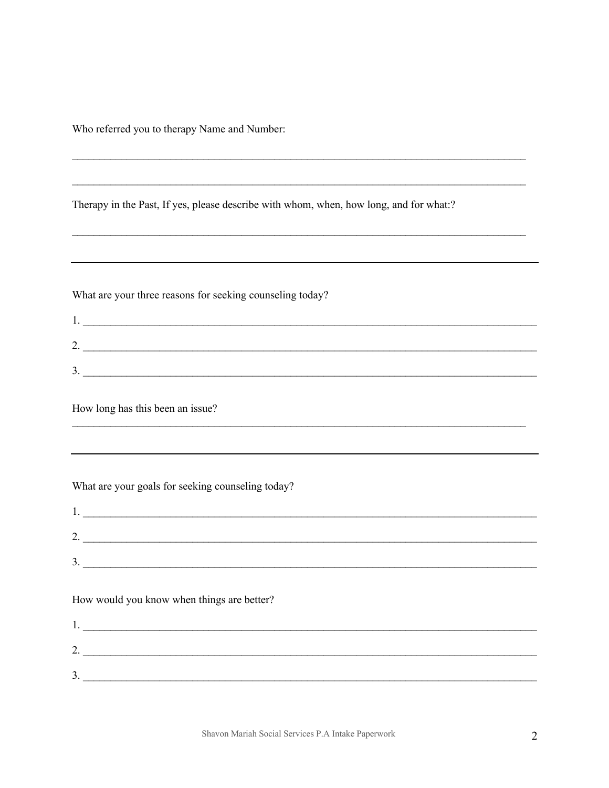Who referred you to therapy Name and Number:

|  |  | Therapy in the Past, If yes, please describe with whom, when, how long, and for what:? |  |  |
|--|--|----------------------------------------------------------------------------------------|--|--|
|--|--|----------------------------------------------------------------------------------------|--|--|

What are your three reasons for seeking counseling today?

| - - |  |
|-----|--|

How long has this been an issue?

What are your goals for seeking counseling today?

| 1.                                         |  |  |
|--------------------------------------------|--|--|
| 2.                                         |  |  |
| 3.                                         |  |  |
|                                            |  |  |
| How would you know when things are better? |  |  |
| 1.                                         |  |  |

| .             |  |
|---------------|--|
|               |  |
| ◠<br><u>.</u> |  |
|               |  |
| ◠<br>. ب      |  |
|               |  |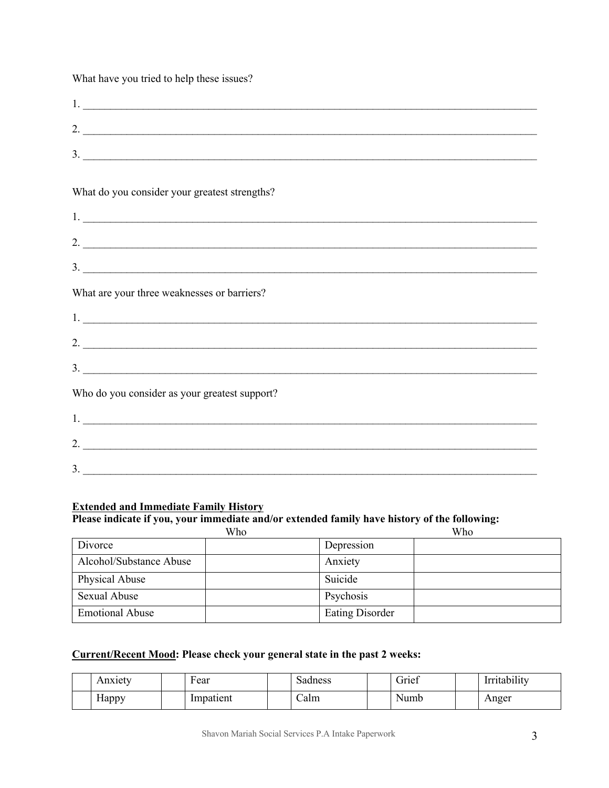What have you tried to help these issues?

| 2. $\overline{\phantom{a}}$                   |
|-----------------------------------------------|
| $\frac{3}{2}$                                 |
|                                               |
| What do you consider your greatest strengths? |
|                                               |
| 2. $\overline{\phantom{a}}$                   |
| $\frac{3}{2}$                                 |
| What are your three weaknesses or barriers?   |
|                                               |
| 2. $\overline{\phantom{a}}$                   |
| $\frac{3}{2}$                                 |
| Who do you consider as your greatest support? |
| $1.$ $\overline{\phantom{a}}$                 |
| 2. $\overline{\phantom{a}}$                   |
| 3.                                            |

#### **Extended and Immediate Family History**

**Please indicate if you, your immediate and/or extended family have history of the following:**

| Who                     | Who                    |
|-------------------------|------------------------|
| Divorce                 | Depression             |
| Alcohol/Substance Abuse | Anxiety                |
| Physical Abuse          | Suicide                |
| Sexual Abuse            | Psychosis              |
| <b>Emotional Abuse</b>  | <b>Eating Disorder</b> |

## **Current/Recent Mood: Please check your general state in the past 2 weeks:**

| Anxiety            | $\mathbf{\tau}$<br>Fear | Sadness | $\sim$<br>$\sim$ $\cdot$<br>Griet | $\cdots$<br>lrrıtabılıtv |
|--------------------|-------------------------|---------|-----------------------------------|--------------------------|
| <b>TT</b><br>Happy | Impatient               | Calm    | <b>T</b><br>Numb                  | Anger                    |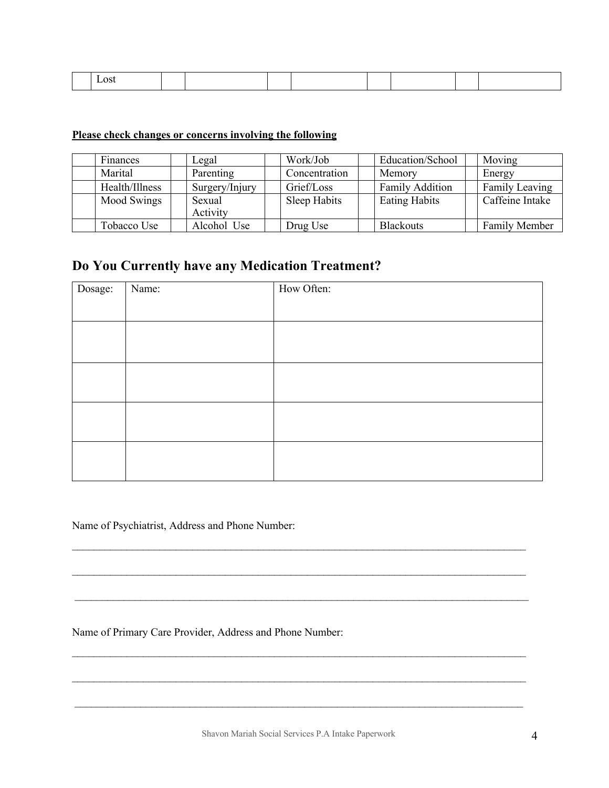| $\sim$ |  |  |  |  |
|--------|--|--|--|--|

# **Please check changes or concerns involving the following**

| Finances       | Legal              | Work/Job      | Education/School       | Moving               |
|----------------|--------------------|---------------|------------------------|----------------------|
| Marital        | Parenting          | Concentration | Memory                 | Energy               |
| Health/Illness | Surgery/Injury     | Grief/Loss    | <b>Family Addition</b> | Family Leaving       |
| Mood Swings    | Sexual<br>Activity | Sleep Habits  | <b>Eating Habits</b>   | Caffeine Intake      |
| Tobacco Use    | Alcohol Use        | Drug Use      | <b>Blackouts</b>       | <b>Family Member</b> |

# **Do You Currently have any Medication Treatment?**

| Dosage: | Name: | How Often: |
|---------|-------|------------|
|         |       |            |
|         |       |            |
|         |       |            |
|         |       |            |
|         |       |            |
|         |       |            |
|         |       |            |
|         |       |            |
|         |       |            |

Name of Psychiatrist, Address and Phone Number:

Name of Primary Care Provider, Address and Phone Number:

 $\mathcal{L}_\mathcal{L} = \{ \mathcal{L}_\mathcal{L} = \{ \mathcal{L}_\mathcal{L} = \{ \mathcal{L}_\mathcal{L} = \{ \mathcal{L}_\mathcal{L} = \{ \mathcal{L}_\mathcal{L} = \{ \mathcal{L}_\mathcal{L} = \{ \mathcal{L}_\mathcal{L} = \{ \mathcal{L}_\mathcal{L} = \{ \mathcal{L}_\mathcal{L} = \{ \mathcal{L}_\mathcal{L} = \{ \mathcal{L}_\mathcal{L} = \{ \mathcal{L}_\mathcal{L} = \{ \mathcal{L}_\mathcal{L} = \{ \mathcal{L}_\mathcal{$ 

 $\mathcal{L}_\mathcal{L} = \{ \mathcal{L}_\mathcal{L} = \{ \mathcal{L}_\mathcal{L} = \{ \mathcal{L}_\mathcal{L} = \{ \mathcal{L}_\mathcal{L} = \{ \mathcal{L}_\mathcal{L} = \{ \mathcal{L}_\mathcal{L} = \{ \mathcal{L}_\mathcal{L} = \{ \mathcal{L}_\mathcal{L} = \{ \mathcal{L}_\mathcal{L} = \{ \mathcal{L}_\mathcal{L} = \{ \mathcal{L}_\mathcal{L} = \{ \mathcal{L}_\mathcal{L} = \{ \mathcal{L}_\mathcal{L} = \{ \mathcal{L}_\mathcal{$ 

 $\mathcal{L}_\mathcal{L} = \{ \mathcal{L}_\mathcal{L} = \{ \mathcal{L}_\mathcal{L} = \{ \mathcal{L}_\mathcal{L} = \{ \mathcal{L}_\mathcal{L} = \{ \mathcal{L}_\mathcal{L} = \{ \mathcal{L}_\mathcal{L} = \{ \mathcal{L}_\mathcal{L} = \{ \mathcal{L}_\mathcal{L} = \{ \mathcal{L}_\mathcal{L} = \{ \mathcal{L}_\mathcal{L} = \{ \mathcal{L}_\mathcal{L} = \{ \mathcal{L}_\mathcal{L} = \{ \mathcal{L}_\mathcal{L} = \{ \mathcal{L}_\mathcal{$ 

 $\mathcal{L}_\text{max}$  and  $\mathcal{L}_\text{max}$  and  $\mathcal{L}_\text{max}$  and  $\mathcal{L}_\text{max}$  and  $\mathcal{L}_\text{max}$  and  $\mathcal{L}_\text{max}$ 

 $\mathcal{L}_\text{max}$  and  $\mathcal{L}_\text{max}$  and  $\mathcal{L}_\text{max}$  and  $\mathcal{L}_\text{max}$  and  $\mathcal{L}_\text{max}$  and  $\mathcal{L}_\text{max}$ 

 $\mathcal{L}_\mathcal{L} = \{ \mathcal{L}_\mathcal{L} = \{ \mathcal{L}_\mathcal{L} = \{ \mathcal{L}_\mathcal{L} = \{ \mathcal{L}_\mathcal{L} = \{ \mathcal{L}_\mathcal{L} = \{ \mathcal{L}_\mathcal{L} = \{ \mathcal{L}_\mathcal{L} = \{ \mathcal{L}_\mathcal{L} = \{ \mathcal{L}_\mathcal{L} = \{ \mathcal{L}_\mathcal{L} = \{ \mathcal{L}_\mathcal{L} = \{ \mathcal{L}_\mathcal{L} = \{ \mathcal{L}_\mathcal{L} = \{ \mathcal{L}_\mathcal{$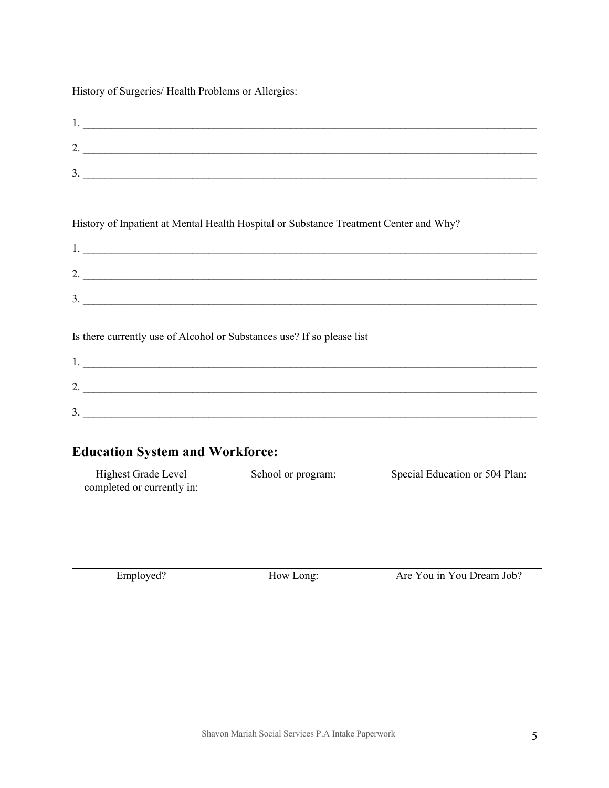History of Surgeries/ Health Problems or Allergies:

| <u>.</u> |  |
|----------|--|
|          |  |
|          |  |

History of Inpatient at Mental Health Hospital or Substance Treatment Center and Why?

| <u>.</u> |  |
|----------|--|
|          |  |
| ∽<br>، ب |  |
|          |  |

Is there currently use of Alcohol or Substances use? If so please list

| <u>.</u> |  |
|----------|--|
| <u>.</u> |  |

# **Education System and Workforce:**

| Highest Grade Level<br>completed or currently in: | School or program: | Special Education or 504 Plan: |
|---------------------------------------------------|--------------------|--------------------------------|
| Employed?                                         | How Long:          | Are You in You Dream Job?      |